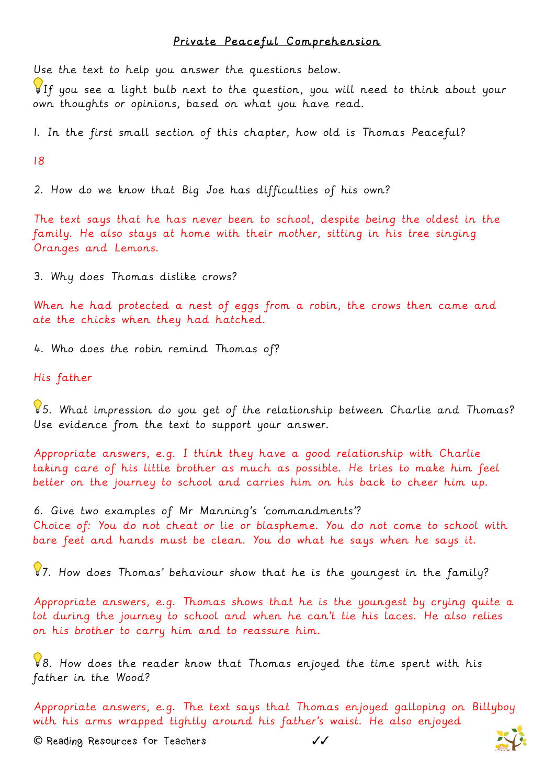## Private Peaceful Comprehension

Use the text to help you answer the questions below.

If you see a light bulb next to the question, you will need to think about your own thoughts or opinions, based on what you have read.

1. In the first small section of this chapter, how old is Thomas Peaceful?

18

2. How do we know that Big Joe has difficulties of his own?

The text says that he has never been to school, despite being the oldest in the family. He also stays at home with their mother, sitting in his tree singing Oranges and Lemons.

3. Why does Thomas dislike crows?

When he had protected a nest of eggs from a robin, the crows then came and ate the chicks when they had hatched.

4. Who does the robin remind Thomas of?

His father

5. What impression do you get of the relationship between Charlie and Thomas? Use evidence from the text to support your answer.

Appropriate answers, e.g. I think they have a good relationship with Charlie taking care of his little brother as much as possible. He tries to make him feel better on the journey to school and carries him on his back to cheer him up.

6. Give two examples of Mr Manning's 'commandments'? Choice of: You do not cheat or lie or blaspheme. You do not come to school with bare feet and hands must be clean. You do what he says when he says it.

87. How does Thomas' behaviour show that he is the youngest in the family?

Appropriate answers, e.g. Thomas shows that he is the youngest by crying quite a lot during the journey to school and when he can't tie his laces. He also relies on his brother to carry him and to reassure him.

8. How does the reader know that Thomas enjoyed the time spent with his father in the Wood?

Appropriate answers, e.g. The text says that Thomas enjoyed galloping on Billyboy with his arms wrapped tightly around his father's waist. He also enjoyed

**©** Reading Resources for Teachers ✓✓